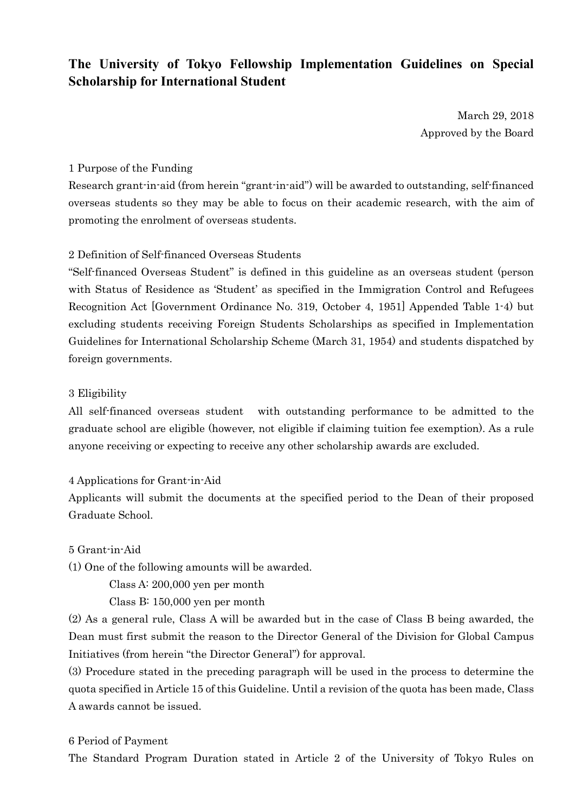# **The University of Tokyo Fellowship Implementation Guidelines on Special Scholarship for International Student**

March 29, 2018 Approved by the Board

#### 1 Purpose of the Funding

Research grant-in-aid (from herein "grant-in-aid") will be awarded to outstanding, self-financed overseas students so they may be able to focus on their academic research, with the aim of promoting the enrolment of overseas students.

### 2 Definition of Self-financed Overseas Students

"Self-financed Overseas Student" is defined in this guideline as an overseas student (person with Status of Residence as 'Student' as specified in the Immigration Control and Refugees Recognition Act [Government Ordinance No. 319, October 4, 1951] Appended Table 1-4) but excluding students receiving Foreign Students Scholarships as specified in Implementation Guidelines for International Scholarship Scheme (March 31, 1954) and students dispatched by foreign governments.

### 3 Eligibility

All self-financed overseas student with outstanding performance to be admitted to the graduate school are eligible (however, not eligible if claiming tuition fee exemption). As a rule anyone receiving or expecting to receive any other scholarship awards are excluded.

#### 4 Applications for Grant-in-Aid

Applicants will submit the documents at the specified period to the Dean of their proposed Graduate School.

#### 5 Grant-in-Aid

(1) One of the following amounts will be awarded.

Class A: 200,000 yen per month

Class B: 150,000 yen per month

(2) As a general rule, Class A will be awarded but in the case of Class B being awarded, the Dean must first submit the reason to the Director General of the Division for Global Campus Initiatives (from herein "the Director General") for approval.

(3) Procedure stated in the preceding paragraph will be used in the process to determine the quota specified in Article 15 of this Guideline. Until a revision of the quota has been made, Class A awards cannot be issued.

#### 6 Period of Payment

The Standard Program Duration stated in Article 2 of the University of Tokyo Rules on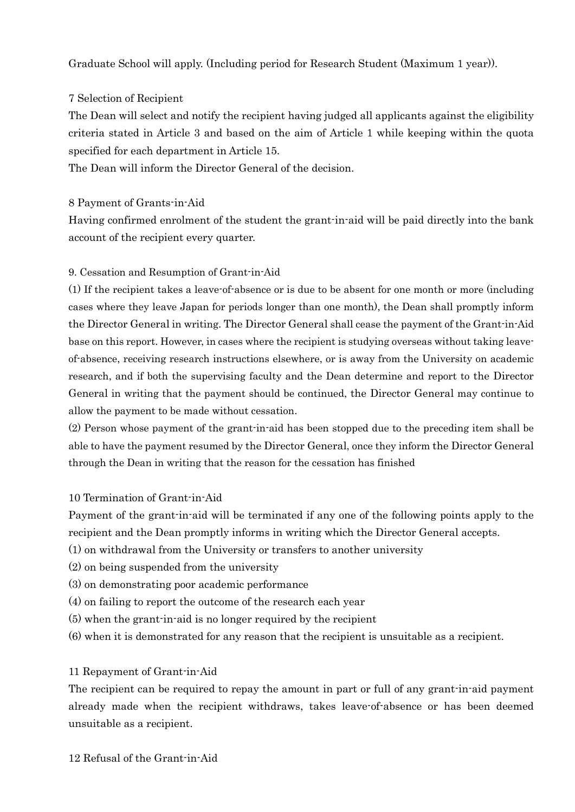Graduate School will apply. (Including period for Research Student (Maximum 1 year)).

## 7 Selection of Recipient

The Dean will select and notify the recipient having judged all applicants against the eligibility criteria stated in Article 3 and based on the aim of Article 1 while keeping within the quota specified for each department in Article 15.

The Dean will inform the Director General of the decision.

### 8 Payment of Grants-in-Aid

Having confirmed enrolment of the student the grant-in-aid will be paid directly into the bank account of the recipient every quarter.

### 9. Cessation and Resumption of Grant-in-Aid

(1) If the recipient takes a leave-of-absence or is due to be absent for one month or more (including cases where they leave Japan for periods longer than one month), the Dean shall promptly inform the Director General in writing. The Director General shall cease the payment of the Grant-in-Aid base on this report. However, in cases where the recipient is studying overseas without taking leaveof-absence, receiving research instructions elsewhere, or is away from the University on academic research, and if both the supervising faculty and the Dean determine and report to the Director General in writing that the payment should be continued, the Director General may continue to allow the payment to be made without cessation.

(2) Person whose payment of the grant-in-aid has been stopped due to the preceding item shall be able to have the payment resumed by the Director General, once they inform the Director General through the Dean in writing that the reason for the cessation has finished

### 10 Termination of Grant-in-Aid

Payment of the grant-in-aid will be terminated if any one of the following points apply to the recipient and the Dean promptly informs in writing which the Director General accepts.

- (1) on withdrawal from the University or transfers to another university
- (2) on being suspended from the university
- (3) on demonstrating poor academic performance
- (4) on failing to report the outcome of the research each year
- (5) when the grant-in-aid is no longer required by the recipient
- (6) when it is demonstrated for any reason that the recipient is unsuitable as a recipient.

# 11 Repayment of Grant-in-Aid

The recipient can be required to repay the amount in part or full of any grant-in-aid payment already made when the recipient withdraws, takes leave-of-absence or has been deemed unsuitable as a recipient.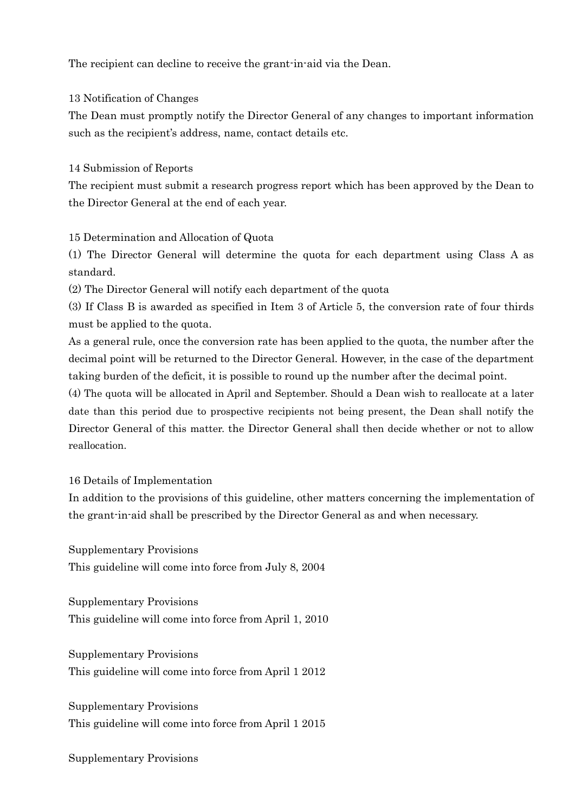The recipient can decline to receive the grant-in-aid via the Dean.

13 Notification of Changes

The Dean must promptly notify the Director General of any changes to important information such as the recipient's address, name, contact details etc.

14 Submission of Reports

The recipient must submit a research progress report which has been approved by the Dean to the Director General at the end of each year.

15 Determination and Allocation of Quota

(1) The Director General will determine the quota for each department using Class A as standard.

(2) The Director General will notify each department of the quota

(3) If Class B is awarded as specified in Item 3 of Article 5, the conversion rate of four thirds must be applied to the quota.

As a general rule, once the conversion rate has been applied to the quota, the number after the decimal point will be returned to the Director General. However, in the case of the department taking burden of the deficit, it is possible to round up the number after the decimal point.

(4) The quota will be allocated in April and September. Should a Dean wish to reallocate at a later date than this period due to prospective recipients not being present, the Dean shall notify the Director General of this matter. the Director General shall then decide whether or not to allow reallocation.

16 Details of Implementation

In addition to the provisions of this guideline, other matters concerning the implementation of the grant-in-aid shall be prescribed by the Director General as and when necessary.

Supplementary Provisions This guideline will come into force from July 8, 2004

Supplementary Provisions This guideline will come into force from April 1, 2010

Supplementary Provisions This guideline will come into force from April 1 2012

Supplementary Provisions This guideline will come into force from April 1 2015

Supplementary Provisions